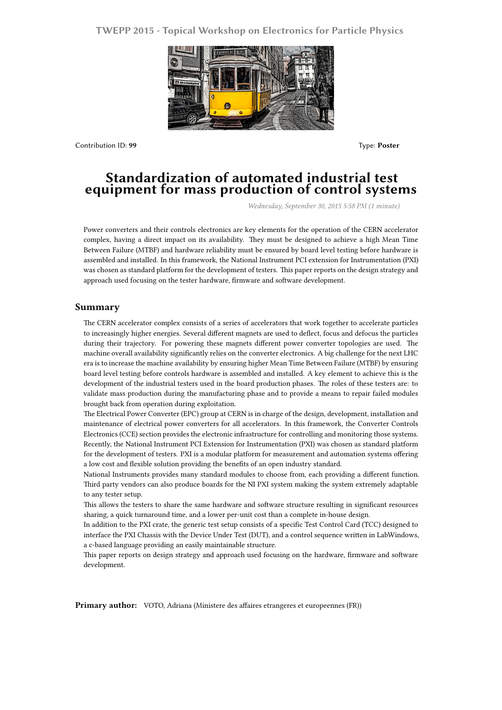## **TWEPP 2015 - Topical Workshop on Electronics for Particle Physics**



Contribution ID: **99** Type: **Poster**

## **Standardization of automated industrial test equipment for mass production of control systems**

*Wednesday, September 30, 2015 5:58 PM (1 minute)*

Power converters and their controls electronics are key elements for the operation of the CERN accelerator complex, having a direct impact on its availability. They must be designed to achieve a high Mean Time Between Failure (MTBF) and hardware reliability must be ensured by board level testing before hardware is assembled and installed. In this framework, the National Instrument PCI extension for Instrumentation (PXI) was chosen as standard platform for the development of testers. This paper reports on the design strategy and approach used focusing on the tester hardware, firmware and software development.

## **Summary**

The CERN accelerator complex consists of a series of accelerators that work together to accelerate particles to increasingly higher energies. Several different magnets are used to deflect, focus and defocus the particles during their trajectory. For powering these magnets different power converter topologies are used. The machine overall availability significantly relies on the converter electronics. A big challenge for the next LHC era is to increase the machine availability by ensuring higher Mean Time Between Failure (MTBF) by ensuring board level testing before controls hardware is assembled and installed. A key element to achieve this is the development of the industrial testers used in the board production phases. The roles of these testers are: to validate mass production during the manufacturing phase and to provide a means to repair failed modules brought back from operation during exploitation.

The Electrical Power Converter (EPC) group at CERN is in charge of the design, development, installation and maintenance of electrical power converters for all accelerators. In this framework, the Converter Controls Electronics (CCE) section provides the electronic infrastructure for controlling and monitoring those systems. Recently, the National Instrument PCI Extension for Instrumentation (PXI) was chosen as standard platform for the development of testers. PXI is a modular platform for measurement and automation systems offering a low cost and flexible solution providing the benefits of an open industry standard.

National Instruments provides many standard modules to choose from, each providing a different function. Third party vendors can also produce boards for the NI PXI system making the system extremely adaptable to any tester setup.

This allows the testers to share the same hardware and software structure resulting in significant resources sharing, a quick turnaround time, and a lower per-unit cost than a complete in-house design.

In addition to the PXI crate, the generic test setup consists of a specific Test Control Card (TCC) designed to interface the PXI Chassis with the Device Under Test (DUT), and a control sequence written in LabWindows, a c-based language providing an easily maintainable structure.

This paper reports on design strategy and approach used focusing on the hardware, firmware and software development.

Primary author: VOTO, Adriana (Ministere des affaires etrangeres et europeennes (FR))